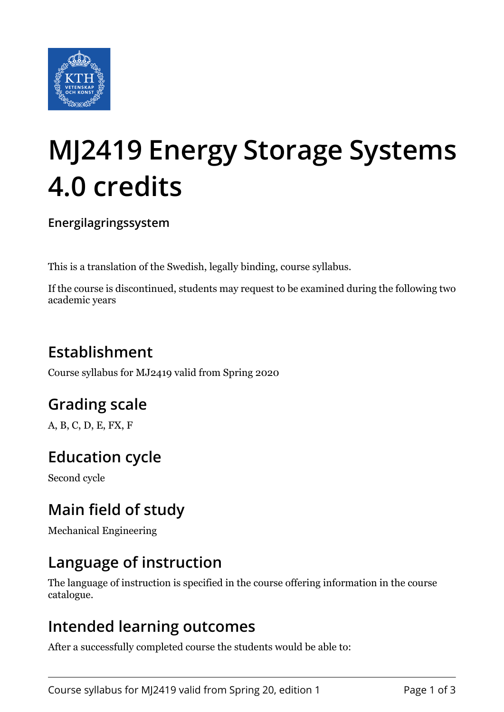

# **MJ2419 Energy Storage Systems 4.0 credits**

**Energilagringssystem**

This is a translation of the Swedish, legally binding, course syllabus.

If the course is discontinued, students may request to be examined during the following two academic years

# **Establishment**

Course syllabus for MJ2419 valid from Spring 2020

# **Grading scale**

A, B, C, D, E, FX, F

# **Education cycle**

Second cycle

# **Main field of study**

Mechanical Engineering

## **Language of instruction**

The language of instruction is specified in the course offering information in the course catalogue.

#### **Intended learning outcomes**

After a successfully completed course the students would be able to: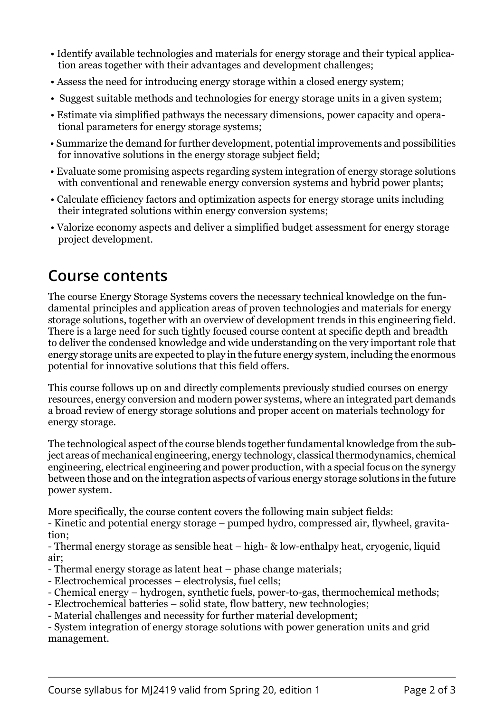- Identify available technologies and materials for energy storage and their typical application areas together with their advantages and development challenges;
- Assess the need for introducing energy storage within a closed energy system;
- Suggest suitable methods and technologies for energy storage units in a given system;
- Estimate via simplified pathways the necessary dimensions, power capacity and operational parameters for energy storage systems;
- Summarize the demand for further development, potential improvements and possibilities for innovative solutions in the energy storage subject field;
- Evaluate some promising aspects regarding system integration of energy storage solutions with conventional and renewable energy conversion systems and hybrid power plants;
- Calculate efficiency factors and optimization aspects for energy storage units including their integrated solutions within energy conversion systems;
- Valorize economy aspects and deliver a simplified budget assessment for energy storage project development.

#### **Course contents**

The course Energy Storage Systems covers the necessary technical knowledge on the fundamental principles and application areas of proven technologies and materials for energy storage solutions, together with an overview of development trends in this engineering field. There is a large need for such tightly focused course content at specific depth and breadth to deliver the condensed knowledge and wide understanding on the very important role that energy storage units are expected to play in the future energy system, including the enormous potential for innovative solutions that this field offers.

This course follows up on and directly complements previously studied courses on energy resources, energy conversion and modern power systems, where an integrated part demands a broad review of energy storage solutions and proper accent on materials technology for energy storage.

The technological aspect of the course blends together fundamental knowledge from the subject areas of mechanical engineering, energy technology, classical thermodynamics, chemical engineering, electrical engineering and power production, with a special focus on the synergy between those and on the integration aspects of various energy storage solutions in the future power system.

More specifically, the course content covers the following main subject fields:

- Kinetic and potential energy storage – pumped hydro, compressed air, flywheel, gravitation;

- Thermal energy storage as sensible heat – high- & low-enthalpy heat, cryogenic, liquid air;

- Thermal energy storage as latent heat phase change materials;
- Electrochemical processes electrolysis, fuel cells;
- Chemical energy hydrogen, synthetic fuels, power-to-gas, thermochemical methods;
- Electrochemical batteries solid state, flow battery, new technologies;
- Material challenges and necessity for further material development;

- System integration of energy storage solutions with power generation units and grid management.